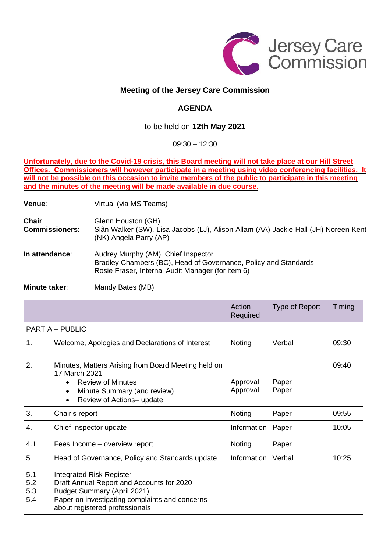

## **Meeting of the Jersey Care Commission**

## **AGENDA**

## to be held on **12th May 2021**

09:30 – 12:30

**Unfortunately, due to the Covid-19 crisis, this Board meeting will not take place at our Hill Street Offices. Commissioners will however participate in a meeting using video conferencing facilities. It** will not be possible on this occasion to invite members of the public to participate in this meeting **and the minutes of the meeting will be made available in due course.**

**Venue:** Virtual (via MS Teams)

**Chair:** Glenn Houston (GH) **Commissioners**: Siân Walker (SW), Lisa Jacobs (LJ), Alison Allam (AA) Jackie Hall (JH) Noreen Kent (NK) Angela Parry (AP)

**In attendance**: Audrey Murphy (AM), Chief Inspector Bradley Chambers (BC), Head of Governance, Policy and Standards Rosie Fraser, Internal Audit Manager (for item 6)

**Minute taker:** Mandy Bates (MB)

|                          |                                                                                                                                                                                                 | Action<br>Required   | Type of Report | Timing |  |  |  |
|--------------------------|-------------------------------------------------------------------------------------------------------------------------------------------------------------------------------------------------|----------------------|----------------|--------|--|--|--|
| <b>PART A - PUBLIC</b>   |                                                                                                                                                                                                 |                      |                |        |  |  |  |
| 1.                       | Welcome, Apologies and Declarations of Interest                                                                                                                                                 | Noting               | Verbal         | 09:30  |  |  |  |
| 2.                       | Minutes, Matters Arising from Board Meeting held on<br>17 March 2021<br><b>Review of Minutes</b><br>Minute Summary (and review)<br>$\bullet$<br>Review of Actions- update<br>$\bullet$          | Approval<br>Approval | Paper<br>Paper | 09:40  |  |  |  |
| 3.                       | Chair's report                                                                                                                                                                                  | Noting               | Paper          | 09:55  |  |  |  |
| 4.                       | Chief Inspector update                                                                                                                                                                          | Information          | Paper          | 10:05  |  |  |  |
| 4.1                      | Fees Income – overview report                                                                                                                                                                   | Noting               | Paper          |        |  |  |  |
| 5                        | Head of Governance, Policy and Standards update                                                                                                                                                 | Information          | Verbal         | 10:25  |  |  |  |
| 5.1<br>5.2<br>5.3<br>5.4 | Integrated Risk Register<br>Draft Annual Report and Accounts for 2020<br><b>Budget Summary (April 2021)</b><br>Paper on investigating complaints and concerns<br>about registered professionals |                      |                |        |  |  |  |